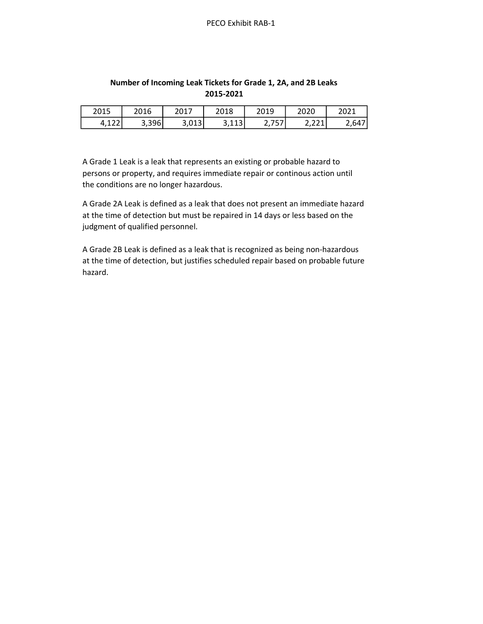| 2015             | 2016  | 201.            | 2018             | 2019           | 2020            | 2021  |
|------------------|-------|-----------------|------------------|----------------|-----------------|-------|
| $\sim$<br>T, 122 | 3,396 | `ר∩1 ∡<br>J,UIJ | 112<br>ر 111 ر ب | . .<br>، ب ، ب | 221<br>المكامرة | 2,647 |

## Number of Incoming Leak Tickets for Grade 1, 2A, and 2B Leaks 2015-2021

A Grade 1 Leak is a leak that represents an existing or probable hazard to persons or property, and requires immediate repair or continous action until the conditions are no longer hazardous.

A Grade 2A Leak is defined as a leak that does not present an immediate hazard at the time of detection but must be repaired in 14 days or less based on the judgment of qualified personnel.

A Grade 2B Leak is defined as a leak that is recognized as being non-hazardous at the time of detection, but justifies scheduled repair based on probable future hazard.